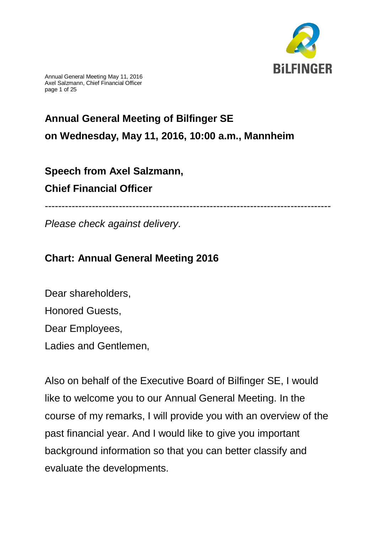

Annual General Meeting May 11, 2016 Axel Salzmann, Chief Financial Officer page 1 of 25

# **Annual General Meeting of Bilfinger SE on Wednesday, May 11, 2016, 10:00 a.m., Mannheim**

# **Speech from Axel Salzmann, Chief Financial Officer**

-------------------------------------------------------------------------------------

*Please check against delivery.*

# **Chart: Annual General Meeting 2016**

Dear shareholders, Honored Guests, Dear Employees, Ladies and Gentlemen,

Also on behalf of the Executive Board of Bilfinger SE, I would like to welcome you to our Annual General Meeting. In the course of my remarks, I will provide you with an overview of the past financial year. And I would like to give you important background information so that you can better classify and evaluate the developments.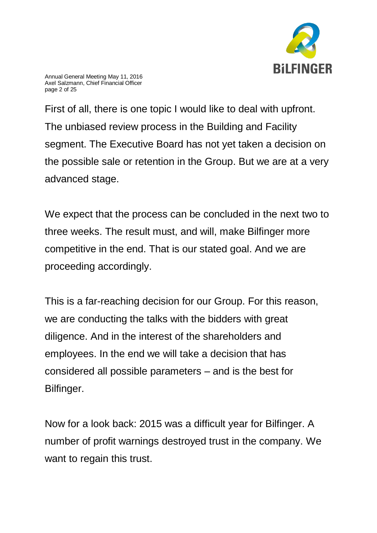

Annual General Meeting May 11, 2016 Axel Salzmann, Chief Financial Officer page 2 of 25

First of all, there is one topic I would like to deal with upfront. The unbiased review process in the Building and Facility segment. The Executive Board has not yet taken a decision on the possible sale or retention in the Group. But we are at a very advanced stage.

We expect that the process can be concluded in the next two to three weeks. The result must, and will, make Bilfinger more competitive in the end. That is our stated goal. And we are proceeding accordingly.

This is a far-reaching decision for our Group. For this reason, we are conducting the talks with the bidders with great diligence. And in the interest of the shareholders and employees. In the end we will take a decision that has considered all possible parameters – and is the best for Bilfinger.

Now for a look back: 2015 was a difficult year for Bilfinger. A number of profit warnings destroyed trust in the company. We want to regain this trust.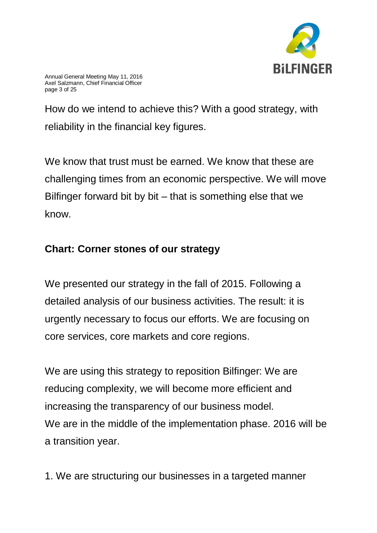

How do we intend to achieve this? With a good strategy, with reliability in the financial key figures.

We know that trust must be earned. We know that these are challenging times from an economic perspective. We will move Bilfinger forward bit by bit – that is something else that we know.

## **Chart: Corner stones of our strategy**

We presented our strategy in the fall of 2015. Following a detailed analysis of our business activities. The result: it is urgently necessary to focus our efforts. We are focusing on core services, core markets and core regions.

We are using this strategy to reposition Bilfinger: We are reducing complexity, we will become more efficient and increasing the transparency of our business model. We are in the middle of the implementation phase. 2016 will be a transition year.

1. We are structuring our businesses in a targeted manner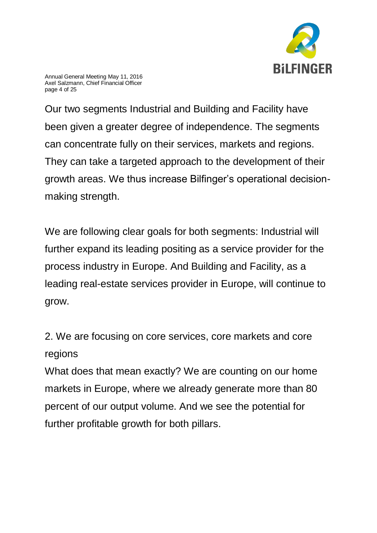

Annual General Meeting May 11, 2016 Axel Salzmann, Chief Financial Officer page 4 of 25

Our two segments Industrial and Building and Facility have been given a greater degree of independence. The segments can concentrate fully on their services, markets and regions. They can take a targeted approach to the development of their growth areas. We thus increase Bilfinger's operational decisionmaking strength.

We are following clear goals for both segments: Industrial will further expand its leading positing as a service provider for the process industry in Europe. And Building and Facility, as a leading real-estate services provider in Europe, will continue to grow.

2. We are focusing on core services, core markets and core regions

What does that mean exactly? We are counting on our home markets in Europe, where we already generate more than 80 percent of our output volume. And we see the potential for further profitable growth for both pillars.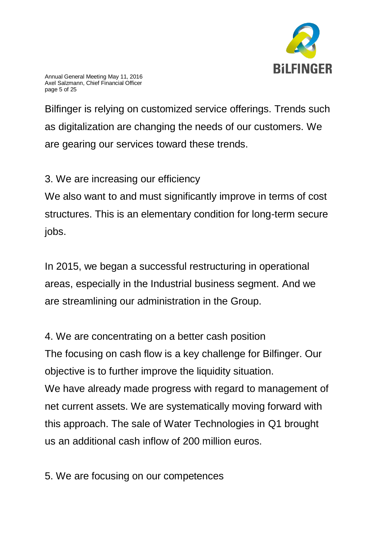

Annual General Meeting May 11, 2016 Axel Salzmann, Chief Financial Officer page 5 of 25

Bilfinger is relying on customized service offerings. Trends such as digitalization are changing the needs of our customers. We are gearing our services toward these trends.

3. We are increasing our efficiency

We also want to and must significantly improve in terms of cost structures. This is an elementary condition for long-term secure jobs.

In 2015, we began a successful restructuring in operational areas, especially in the Industrial business segment. And we are streamlining our administration in the Group.

4. We are concentrating on a better cash position The focusing on cash flow is a key challenge for Bilfinger. Our objective is to further improve the liquidity situation. We have already made progress with regard to management of net current assets. We are systematically moving forward with this approach. The sale of Water Technologies in Q1 brought us an additional cash inflow of 200 million euros.

5. We are focusing on our competences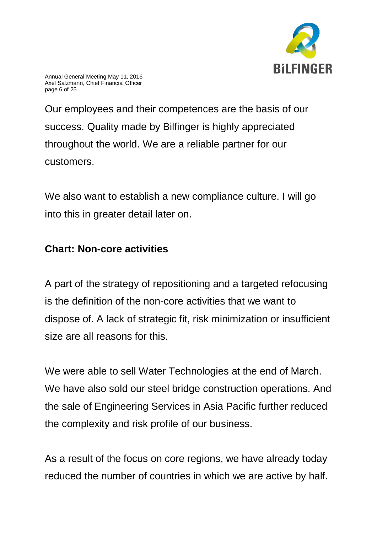

Annual General Meeting May 11, 2016 Axel Salzmann, Chief Financial Officer page 6 of 25

Our employees and their competences are the basis of our success. Quality made by Bilfinger is highly appreciated throughout the world. We are a reliable partner for our customers.

We also want to establish a new compliance culture. I will go into this in greater detail later on.

### **Chart: Non-core activities**

A part of the strategy of repositioning and a targeted refocusing is the definition of the non-core activities that we want to dispose of. A lack of strategic fit, risk minimization or insufficient size are all reasons for this.

We were able to sell Water Technologies at the end of March. We have also sold our steel bridge construction operations. And the sale of Engineering Services in Asia Pacific further reduced the complexity and risk profile of our business.

As a result of the focus on core regions, we have already today reduced the number of countries in which we are active by half.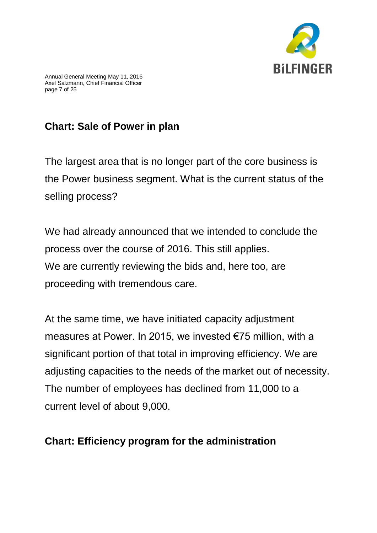

# **Chart: Sale of Power in plan**

The largest area that is no longer part of the core business is the Power business segment. What is the current status of the selling process?

We had already announced that we intended to conclude the process over the course of 2016. This still applies. We are currently reviewing the bids and, here too, are proceeding with tremendous care.

At the same time, we have initiated capacity adjustment measures at Power. In 2015, we invested €75 million, with a significant portion of that total in improving efficiency. We are adjusting capacities to the needs of the market out of necessity. The number of employees has declined from 11,000 to a current level of about 9,000.

## **Chart: Efficiency program for the administration**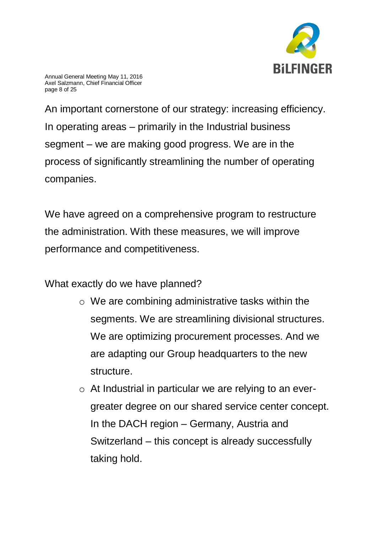

Annual General Meeting May 11, 2016 Axel Salzmann, Chief Financial Officer page 8 of 25

An important cornerstone of our strategy: increasing efficiency. In operating areas – primarily in the Industrial business segment – we are making good progress. We are in the process of significantly streamlining the number of operating companies.

We have agreed on a comprehensive program to restructure the administration. With these measures, we will improve performance and competitiveness.

What exactly do we have planned?

- o We are combining administrative tasks within the segments. We are streamlining divisional structures. We are optimizing procurement processes. And we are adapting our Group headquarters to the new structure.
- o At Industrial in particular we are relying to an evergreater degree on our shared service center concept. In the DACH region – Germany, Austria and Switzerland – this concept is already successfully taking hold.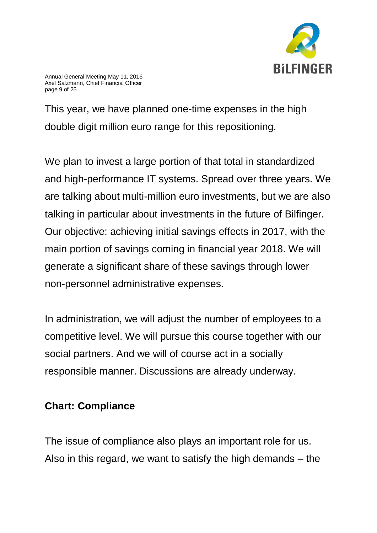

Annual General Meeting May 11, 2016 Axel Salzmann, Chief Financial Officer page 9 of 25

This year, we have planned one-time expenses in the high double digit million euro range for this repositioning.

We plan to invest a large portion of that total in standardized and high-performance IT systems. Spread over three years. We are talking about multi-million euro investments, but we are also talking in particular about investments in the future of Bilfinger. Our objective: achieving initial savings effects in 2017, with the main portion of savings coming in financial year 2018. We will generate a significant share of these savings through lower non-personnel administrative expenses.

In administration, we will adjust the number of employees to a competitive level. We will pursue this course together with our social partners. And we will of course act in a socially responsible manner. Discussions are already underway.

### **Chart: Compliance**

The issue of compliance also plays an important role for us. Also in this regard, we want to satisfy the high demands – the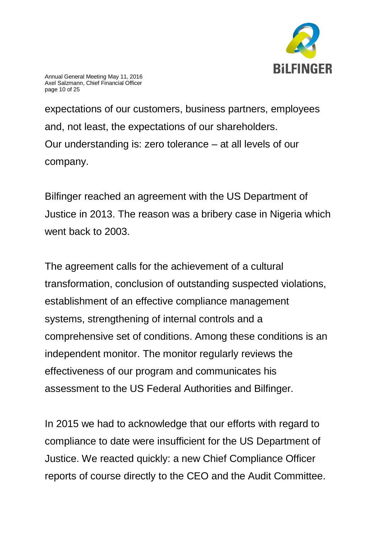

expectations of our customers, business partners, employees and, not least, the expectations of our shareholders. Our understanding is: zero tolerance – at all levels of our company.

Bilfinger reached an agreement with the US Department of Justice in 2013. The reason was a bribery case in Nigeria which went back to 2003.

The agreement calls for the achievement of a cultural transformation, conclusion of outstanding suspected violations, establishment of an effective compliance management systems, strengthening of internal controls and a comprehensive set of conditions. Among these conditions is an independent monitor. The monitor regularly reviews the effectiveness of our program and communicates his assessment to the US Federal Authorities and Bilfinger.

In 2015 we had to acknowledge that our efforts with regard to compliance to date were insufficient for the US Department of Justice. We reacted quickly: a new Chief Compliance Officer reports of course directly to the CEO and the Audit Committee.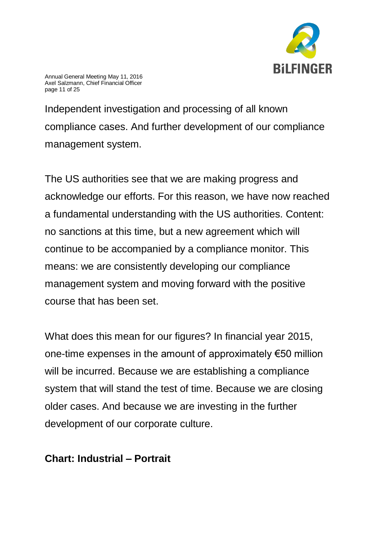

Annual General Meeting May 11, 2016 Axel Salzmann, Chief Financial Officer page 11 of 25

Independent investigation and processing of all known compliance cases. And further development of our compliance management system.

The US authorities see that we are making progress and acknowledge our efforts. For this reason, we have now reached a fundamental understanding with the US authorities. Content: no sanctions at this time, but a new agreement which will continue to be accompanied by a compliance monitor. This means: we are consistently developing our compliance management system and moving forward with the positive course that has been set.

What does this mean for our figures? In financial year 2015, one-time expenses in the amount of approximately €50 million will be incurred. Because we are establishing a compliance system that will stand the test of time. Because we are closing older cases. And because we are investing in the further development of our corporate culture.

#### **Chart: Industrial – Portrait**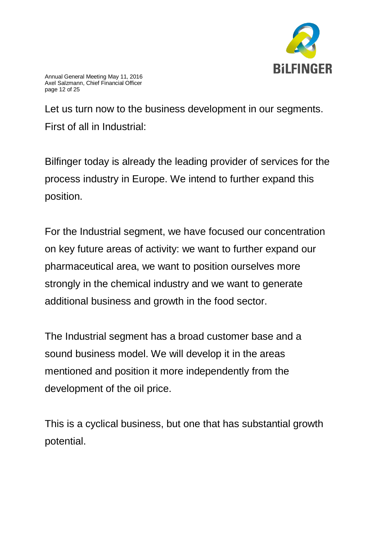

Let us turn now to the business development in our segments. First of all in Industrial:

Bilfinger today is already the leading provider of services for the process industry in Europe. We intend to further expand this position.

For the Industrial segment, we have focused our concentration on key future areas of activity: we want to further expand our pharmaceutical area, we want to position ourselves more strongly in the chemical industry and we want to generate additional business and growth in the food sector.

The Industrial segment has a broad customer base and a sound business model. We will develop it in the areas mentioned and position it more independently from the development of the oil price.

This is a cyclical business, but one that has substantial growth potential.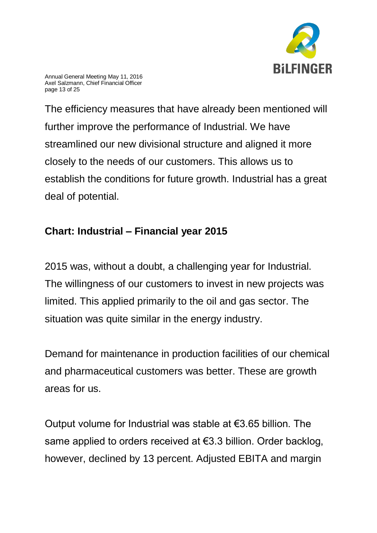

Annual General Meeting May 11, 2016 Axel Salzmann, Chief Financial Officer page 13 of 25

The efficiency measures that have already been mentioned will further improve the performance of Industrial. We have streamlined our new divisional structure and aligned it more closely to the needs of our customers. This allows us to establish the conditions for future growth. Industrial has a great deal of potential.

## **Chart: Industrial – Financial year 2015**

2015 was, without a doubt, a challenging year for Industrial. The willingness of our customers to invest in new projects was limited. This applied primarily to the oil and gas sector. The situation was quite similar in the energy industry.

Demand for maintenance in production facilities of our chemical and pharmaceutical customers was better. These are growth areas for us.

Output volume for Industrial was stable at €3.65 billion. The same applied to orders received at €3.3 billion. Order backlog, however, declined by 13 percent. Adjusted EBITA and margin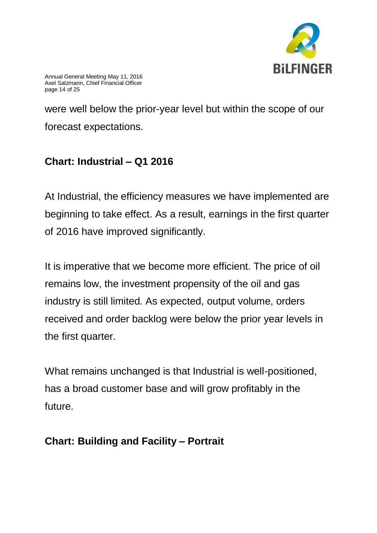

Annual General Meeting May 11, 2016 Axel Salzmann, Chief Financial Officer page 14 of 25

were well below the prior-year level but within the scope of our forecast expectations.

# **Chart: Industrial – Q1 2016**

At Industrial, the efficiency measures we have implemented are beginning to take effect. As a result, earnings in the first quarter of 2016 have improved significantly.

It is imperative that we become more efficient. The price of oil remains low, the investment propensity of the oil and gas industry is still limited. As expected, output volume, orders received and order backlog were below the prior year levels in the first quarter.

What remains unchanged is that Industrial is well-positioned, has a broad customer base and will grow profitably in the future.

## **Chart: Building and Facility – Portrait**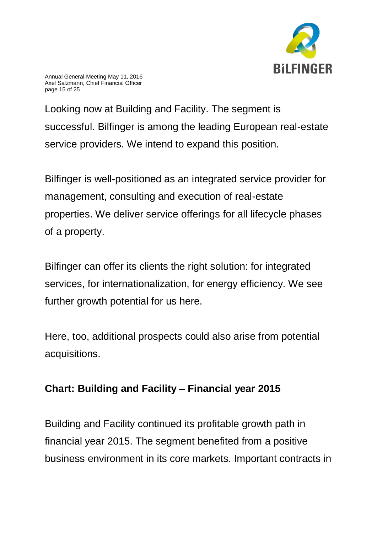

Annual General Meeting May 11, 2016 Axel Salzmann, Chief Financial Officer page 15 of 25

Looking now at Building and Facility. The segment is successful. Bilfinger is among the leading European real-estate service providers. We intend to expand this position.

Bilfinger is well-positioned as an integrated service provider for management, consulting and execution of real-estate properties. We deliver service offerings for all lifecycle phases of a property.

Bilfinger can offer its clients the right solution: for integrated services, for internationalization, for energy efficiency. We see further growth potential for us here.

Here, too, additional prospects could also arise from potential acquisitions.

## **Chart: Building and Facility – Financial year 2015**

Building and Facility continued its profitable growth path in financial year 2015. The segment benefited from a positive business environment in its core markets. Important contracts in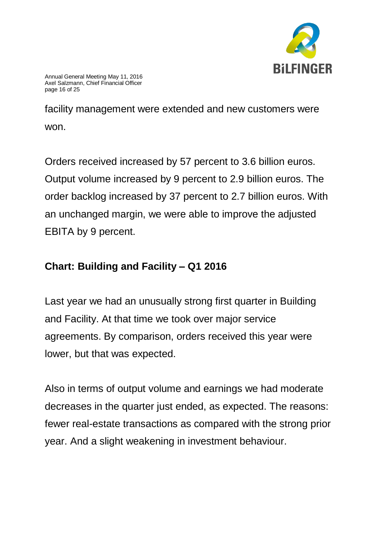

facility management were extended and new customers were won.

Orders received increased by 57 percent to 3.6 billion euros. Output volume increased by 9 percent to 2.9 billion euros. The order backlog increased by 37 percent to 2.7 billion euros. With an unchanged margin, we were able to improve the adjusted EBITA by 9 percent.

# **Chart: Building and Facility – Q1 2016**

Last year we had an unusually strong first quarter in Building and Facility. At that time we took over major service agreements. By comparison, orders received this year were lower, but that was expected.

Also in terms of output volume and earnings we had moderate decreases in the quarter just ended, as expected. The reasons: fewer real-estate transactions as compared with the strong prior year. And a slight weakening in investment behaviour.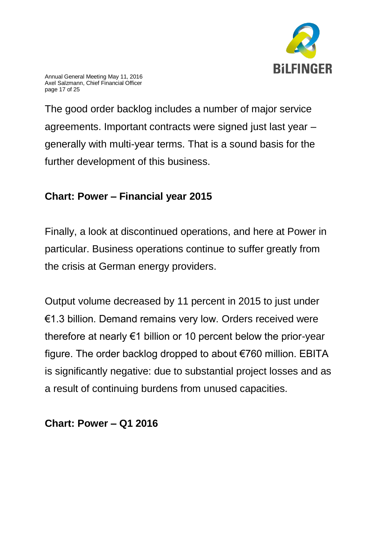

Annual General Meeting May 11, 2016 Axel Salzmann, Chief Financial Officer page 17 of 25

The good order backlog includes a number of major service agreements. Important contracts were signed just last year – generally with multi-year terms. That is a sound basis for the further development of this business.

# **Chart: Power – Financial year 2015**

Finally, a look at discontinued operations, and here at Power in particular. Business operations continue to suffer greatly from the crisis at German energy providers.

Output volume decreased by 11 percent in 2015 to just under €1.3 billion. Demand remains very low. Orders received were therefore at nearly €1 billion or 10 percent below the prior-year figure. The order backlog dropped to about €760 million. EBITA is significantly negative: due to substantial project losses and as a result of continuing burdens from unused capacities.

### **Chart: Power – Q1 2016**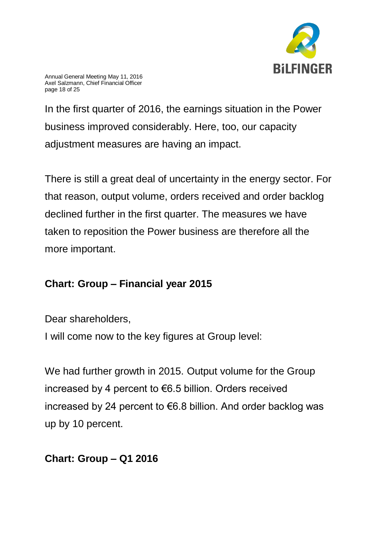

Annual General Meeting May 11, 2016 Axel Salzmann, Chief Financial Officer page 18 of 25

In the first quarter of 2016, the earnings situation in the Power business improved considerably. Here, too, our capacity adjustment measures are having an impact.

There is still a great deal of uncertainty in the energy sector. For that reason, output volume, orders received and order backlog declined further in the first quarter. The measures we have taken to reposition the Power business are therefore all the more important.

## **Chart: Group – Financial year 2015**

Dear shareholders,

I will come now to the key figures at Group level:

We had further growth in 2015. Output volume for the Group increased by 4 percent to €6.5 billion. Orders received increased by 24 percent to €6.8 billion. And order backlog was up by 10 percent.

## **Chart: Group – Q1 2016**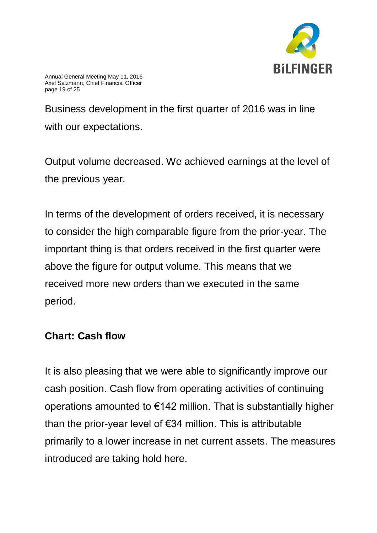

Business development in the first quarter of 2016 was in line with our expectations.

Output volume decreased. We achieved earnings at the level of the previous year.

In terms of the development of orders received, it is necessary to consider the high comparable figure from the prior-year. The important thing is that orders received in the first quarter were above the figure for output volume. This means that we received more new orders than we executed in the same period.

### **Chart: Cash flow**

It is also pleasing that we were able to significantly improve our cash position. Cash flow from operating activities of continuing operations amounted to €142 million. That is substantially higher than the prior-year level of  $\epsilon$ 34 million. This is attributable primarily to a lower increase in net current assets. The measures introduced are taking hold here.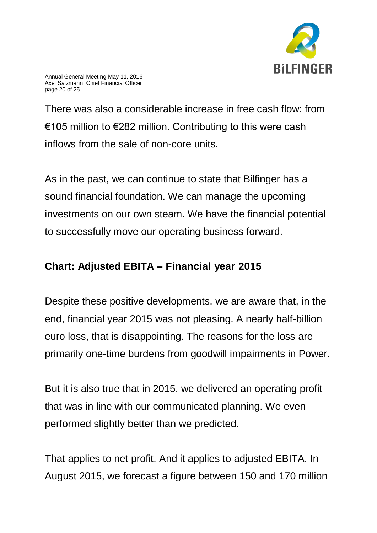

Annual General Meeting May 11, 2016 Axel Salzmann, Chief Financial Officer page 20 of 25

There was also a considerable increase in free cash flow: from €105 million to  $€282$  million. Contributing to this were cash inflows from the sale of non-core units.

As in the past, we can continue to state that Bilfinger has a sound financial foundation. We can manage the upcoming investments on our own steam. We have the financial potential to successfully move our operating business forward.

### **Chart: Adjusted EBITA – Financial year 2015**

Despite these positive developments, we are aware that, in the end, financial year 2015 was not pleasing. A nearly half-billion euro loss, that is disappointing. The reasons for the loss are primarily one-time burdens from goodwill impairments in Power.

But it is also true that in 2015, we delivered an operating profit that was in line with our communicated planning. We even performed slightly better than we predicted.

That applies to net profit. And it applies to adjusted EBITA. In August 2015, we forecast a figure between 150 and 170 million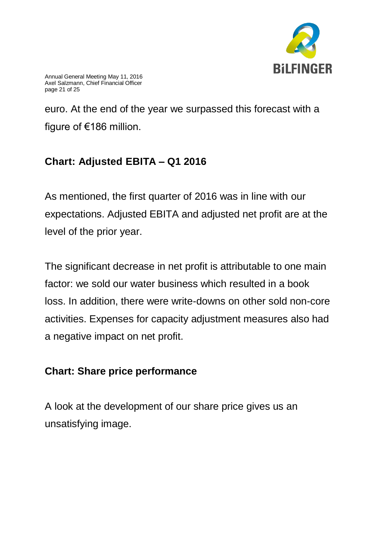

Annual General Meeting May 11, 2016 Axel Salzmann, Chief Financial Officer page 21 of 25

euro. At the end of the year we surpassed this forecast with a figure of €186 million.

# **Chart: Adjusted EBITA – Q1 2016**

As mentioned, the first quarter of 2016 was in line with our expectations. Adjusted EBITA and adjusted net profit are at the level of the prior year.

The significant decrease in net profit is attributable to one main factor: we sold our water business which resulted in a book loss. In addition, there were write-downs on other sold non-core activities. Expenses for capacity adjustment measures also had a negative impact on net profit.

### **Chart: Share price performance**

A look at the development of our share price gives us an unsatisfying image.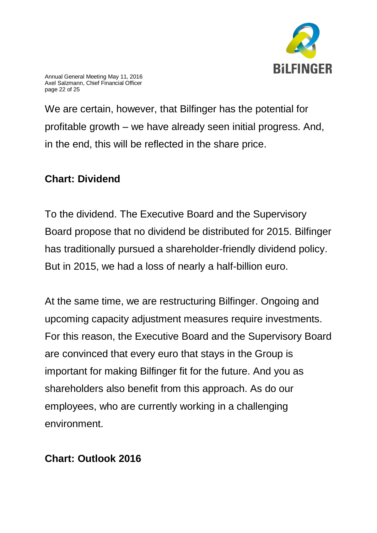

Annual General Meeting May 11, 2016 Axel Salzmann, Chief Financial Officer page 22 of 25

We are certain, however, that Bilfinger has the potential for profitable growth – we have already seen initial progress. And, in the end, this will be reflected in the share price.

#### **Chart: Dividend**

To the dividend. The Executive Board and the Supervisory Board propose that no dividend be distributed for 2015. Bilfinger has traditionally pursued a shareholder-friendly dividend policy. But in 2015, we had a loss of nearly a half-billion euro.

At the same time, we are restructuring Bilfinger. Ongoing and upcoming capacity adjustment measures require investments. For this reason, the Executive Board and the Supervisory Board are convinced that every euro that stays in the Group is important for making Bilfinger fit for the future. And you as shareholders also benefit from this approach. As do our employees, who are currently working in a challenging environment.

### **Chart: Outlook 2016**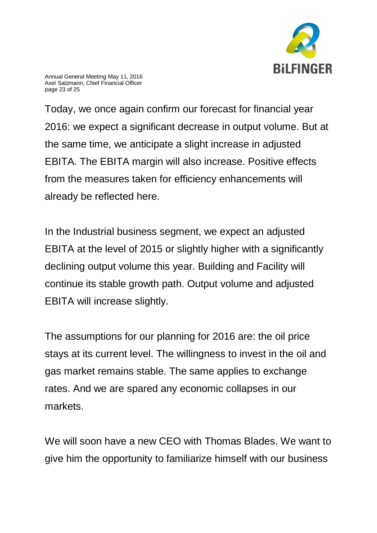

Annual General Meeting May 11, 2016 Axel Salzmann, Chief Financial Officer page 23 of 25

Today, we once again confirm our forecast for financial year 2016: we expect a significant decrease in output volume. But at the same time, we anticipate a slight increase in adjusted EBITA. The EBITA margin will also increase. Positive effects from the measures taken for efficiency enhancements will already be reflected here.

In the Industrial business segment, we expect an adjusted EBITA at the level of 2015 or slightly higher with a significantly declining output volume this year. Building and Facility will continue its stable growth path. Output volume and adjusted EBITA will increase slightly.

The assumptions for our planning for 2016 are: the oil price stays at its current level. The willingness to invest in the oil and gas market remains stable. The same applies to exchange rates. And we are spared any economic collapses in our markets.

We will soon have a new CEO with Thomas Blades. We want to give him the opportunity to familiarize himself with our business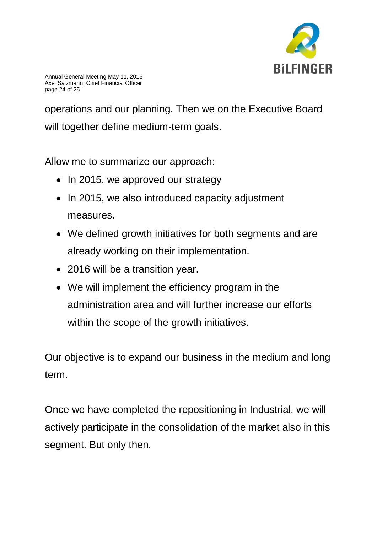

operations and our planning. Then we on the Executive Board will together define medium-term goals.

Allow me to summarize our approach:

- In 2015, we approved our strategy
- In 2015, we also introduced capacity adjustment measures.
- We defined growth initiatives for both segments and are already working on their implementation.
- 2016 will be a transition year.
- We will implement the efficiency program in the administration area and will further increase our efforts within the scope of the growth initiatives.

Our objective is to expand our business in the medium and long term.

Once we have completed the repositioning in Industrial, we will actively participate in the consolidation of the market also in this segment. But only then.